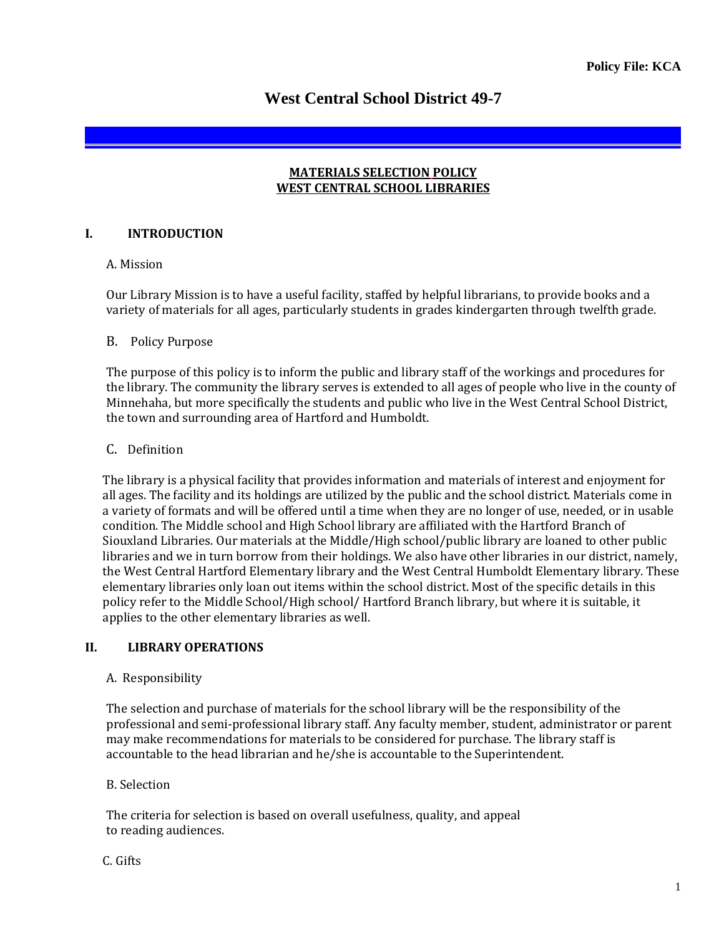# **West Central School District 49-7**

#### **MATERIALS SELECTION POLICY WEST CENTRAL SCHOOL LIBRARIES**

### **I. INTRODUCTION**

#### A. Mission

Our Library Mission is to have a useful facility, staffed by helpful librarians, to provide books and a variety of materials for all ages, particularly students in grades kindergarten through twelfth grade.

#### B. Policy Purpose

The purpose of this policy is to inform the public and library staff of the workings and procedures for the library. The community the library serves is extended to all ages of people who live in the county of Minnehaha, but more specifically the students and public who live in the West Central School District, the town and surrounding area of Hartford and Humboldt.

#### C. Definition

The library is a physical facility that provides information and materials of interest and enjoyment for all ages. The facility and its holdings are utilized by the public and the school district. Materials come in a variety of formats and will be offered until a time when they are no longer of use, needed, or in usable condition. The Middle school and High School library are affiliated with the Hartford Branch of Siouxland Libraries. Our materials at the Middle/High school/public library are loaned to other public libraries and we in turn borrow from their holdings. We also have other libraries in our district, namely, the West Central Hartford Elementary library and the West Central Humboldt Elementary library. These elementary libraries only loan out items within the school district. Most of the specific details in this policy refer to the Middle School/High school/ Hartford Branch library, but where it is suitable, it applies to the other elementary libraries as well.

#### **II. LIBRARY OPERATIONS**

#### A. Responsibility

The selection and purchase of materials for the school library will be the responsibility of the professional and semi-professional library staff. Any faculty member, student, administrator or parent may make recommendations for materials to be considered for purchase. The library staff is accountable to the head librarian and he/she is accountable to the Superintendent.

#### B. Selection

The criteria for selection is based on overall usefulness, quality, and appeal to reading audiences.

#### C. Gifts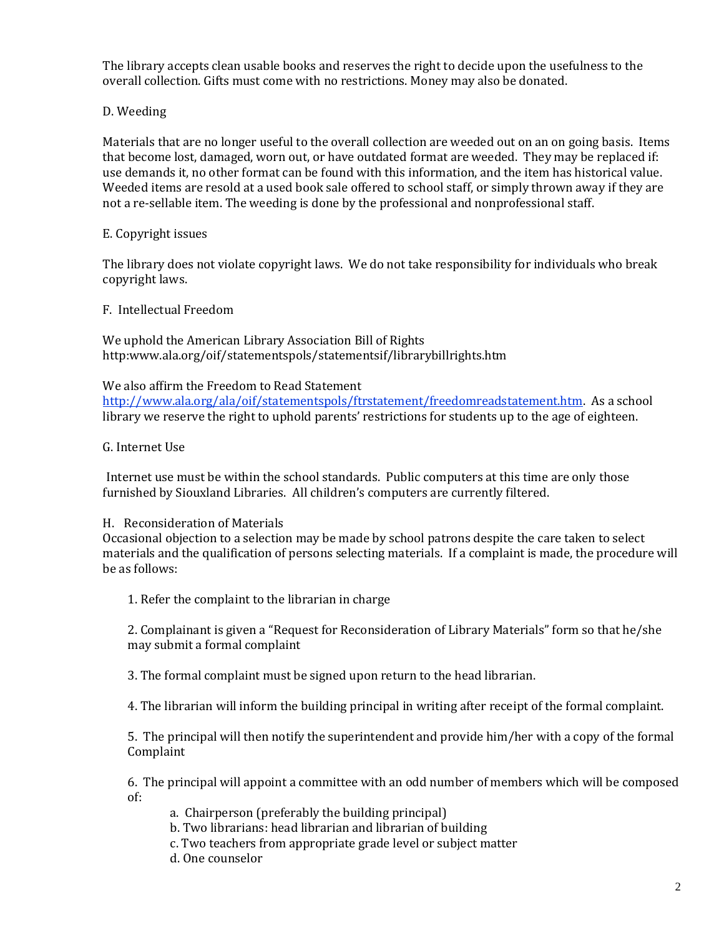The library accepts clean usable books and reserves the right to decide upon the usefulness to the overall collection. Gifts must come with no restrictions. Money may also be donated.

## D. Weeding

Materials that are no longer useful to the overall collection are weeded out on an on going basis. Items that become lost, damaged, worn out, or have outdated format are weeded. They may be replaced if: use demands it, no other format can be found with this information, and the item has historical value. Weeded items are resold at a used book sale offered to school staff, or simply thrown away if they are not a re-sellable item. The weeding is done by the professional and nonprofessional staff.

## E. Copyright issues

The library does not violate copyright laws. We do not take responsibility for individuals who break copyright laws.

F. Intellectual Freedom

We uphold the American Library Association Bill of Rights http:www.ala.org/oif/statementspols/statementsif/librarybillrights.htm

#### We also affirm the Freedom to Read Statement

[http://www.ala.org/ala/oif/statementspols/ftrstatement/freedomreadstatement.htm.](http://www.ala.org/ala/oif/statementspols/ftrstatement/freedomreadstatement.htm) As a school library we reserve the right to uphold parents' restrictions for students up to the age of eighteen.

## G. Internet Use

Internet use must be within the school standards. Public computers at this time are only those furnished by Siouxland Libraries. All children's computers are currently filtered.

## H. Reconsideration of Materials

Occasional objection to a selection may be made by school patrons despite the care taken to select materials and the qualification of persons selecting materials. If a complaint is made, the procedure will be as follows:

1. Refer the complaint to the librarian in charge

2. Complainant is given a "Request for Reconsideration of Library Materials" form so that he/she may submit a formal complaint

3. The formal complaint must be signed upon return to the head librarian.

4. The librarian will inform the building principal in writing after receipt of the formal complaint.

5. The principal will then notify the superintendent and provide him/her with a copy of the formal Complaint

6. The principal will appoint a committee with an odd number of members which will be composed of:

- a. Chairperson (preferably the building principal)
- b. Two librarians: head librarian and librarian of building
- c. Two teachers from appropriate grade level or subject matter
- d. One counselor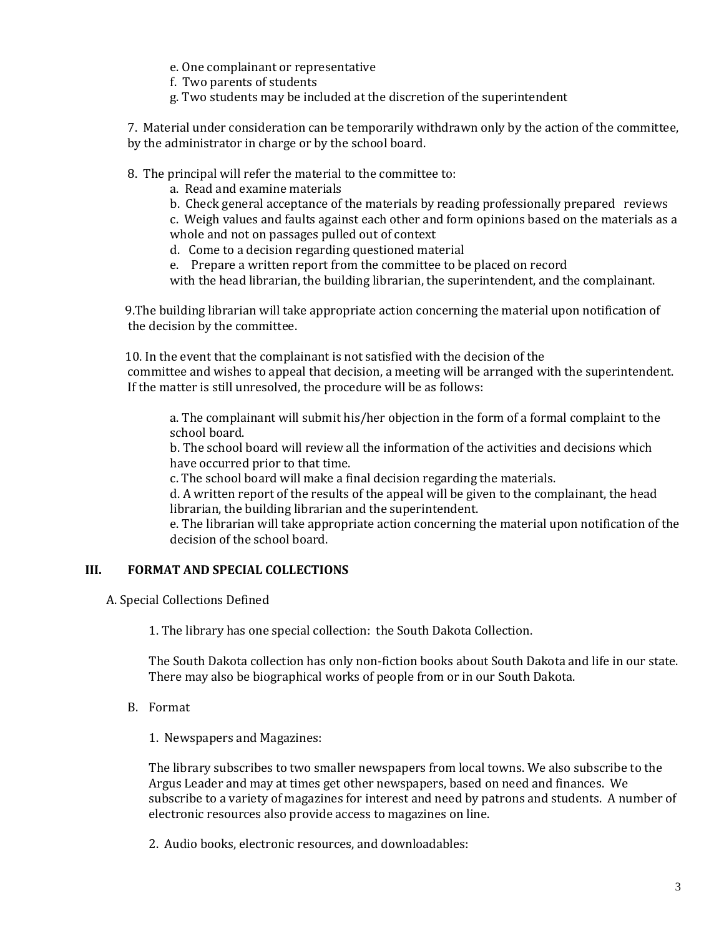e. One complainant or representative

f. Two parents of students

g. Two students may be included at the discretion of the superintendent

7. Material under consideration can be temporarily withdrawn only by the action of the committee, by the administrator in charge or by the school board.

8. The principal will refer the material to the committee to:

a. Read and examine materials

b. Check general acceptance of the materials by reading professionally prepared reviews

c. Weigh values and faults against each other and form opinions based on the materials as a whole and not on passages pulled out of context

d. Come to a decision regarding questioned material

e. Prepare a written report from the committee to be placed on record

with the head librarian, the building librarian, the superintendent, and the complainant.

 9.The building librarian will take appropriate action concerning the material upon notification of the decision by the committee.

 10. In the event that the complainant is not satisfied with the decision of the committee and wishes to appeal that decision, a meeting will be arranged with the superintendent. If the matter is still unresolved, the procedure will be as follows:

a. The complainant will submit his/her objection in the form of a formal complaint to the school board.

b. The school board will review all the information of the activities and decisions which have occurred prior to that time.

c. The school board will make a final decision regarding the materials.

d. A written report of the results of the appeal will be given to the complainant, the head librarian, the building librarian and the superintendent.

e. The librarian will take appropriate action concerning the material upon notification of the decision of the school board.

#### **III. FORMAT AND SPECIAL COLLECTIONS**

A. Special Collections Defined

1. The library has one special collection: the South Dakota Collection.

The South Dakota collection has only non-fiction books about South Dakota and life in our state. There may also be biographical works of people from or in our South Dakota.

B. Format

1. Newspapers and Magazines:

The library subscribes to two smaller newspapers from local towns. We also subscribe to the Argus Leader and may at times get other newspapers, based on need and finances. We subscribe to a variety of magazines for interest and need by patrons and students. A number of electronic resources also provide access to magazines on line.

2. Audio books, electronic resources, and downloadables: